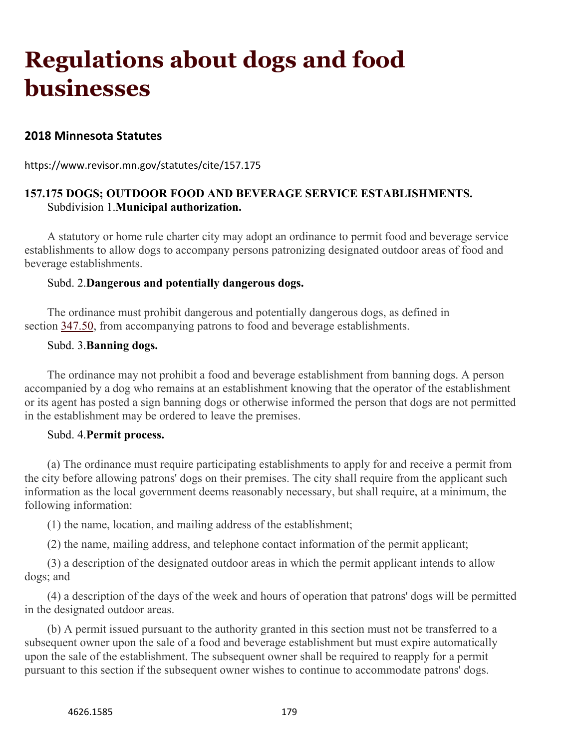# **Regulations about dogs and food businesses**

## **2018 Minnesota Statutes**

https://www.revisor.mn.gov/statutes/cite/157.175

## **157.175 DOGS; OUTDOOR FOOD AND BEVERAGE SERVICE ESTABLISHMENTS.** Subdivision 1.**Municipal authorization.**

A statutory or home rule charter city may adopt an ordinance to permit food and beverage service establishments to allow dogs to accompany persons patronizing designated outdoor areas of food and beverage establishments.

#### Subd. 2.**Dangerous and potentially dangerous dogs.**

The ordinance must prohibit dangerous and potentially dangerous dogs, as defined in section [347.50,](https://www.revisor.mn.gov/statutes/cite/347.50) from accompanying patrons to food and beverage establishments.

#### Subd. 3.**Banning dogs.**

The ordinance may not prohibit a food and beverage establishment from banning dogs. A person accompanied by a dog who remains at an establishment knowing that the operator of the establishment or its agent has posted a sign banning dogs or otherwise informed the person that dogs are not permitted in the establishment may be ordered to leave the premises.

#### Subd. 4.**Permit process.**

(a) The ordinance must require participating establishments to apply for and receive a permit from the city before allowing patrons' dogs on their premises. The city shall require from the applicant such information as the local government deems reasonably necessary, but shall require, at a minimum, the following information:

(1) the name, location, and mailing address of the establishment;

(2) the name, mailing address, and telephone contact information of the permit applicant;

(3) a description of the designated outdoor areas in which the permit applicant intends to allow dogs; and

(4) a description of the days of the week and hours of operation that patrons' dogs will be permitted in the designated outdoor areas.

(b) A permit issued pursuant to the authority granted in this section must not be transferred to a subsequent owner upon the sale of a food and beverage establishment but must expire automatically upon the sale of the establishment. The subsequent owner shall be required to reapply for a permit pursuant to this section if the subsequent owner wishes to continue to accommodate patrons' dogs.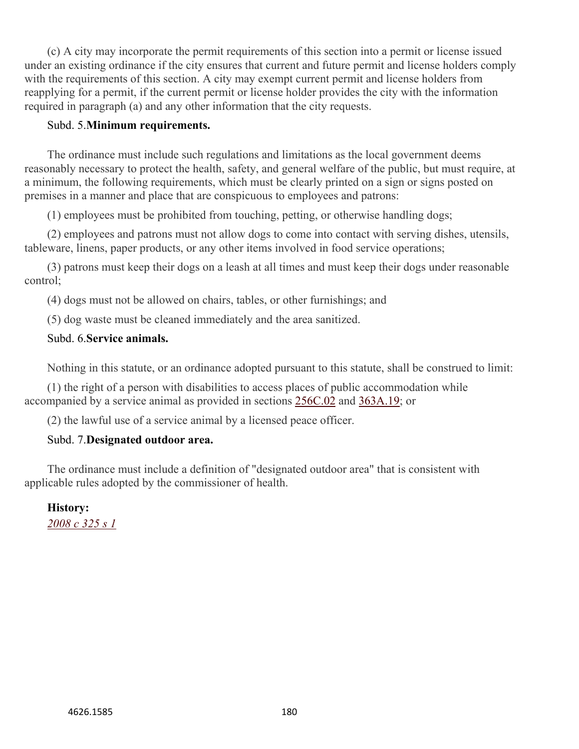(c) A city may incorporate the permit requirements of this section into a permit or license issued under an existing ordinance if the city ensures that current and future permit and license holders comply with the requirements of this section. A city may exempt current permit and license holders from reapplying for a permit, if the current permit or license holder provides the city with the information required in paragraph (a) and any other information that the city requests.

#### Subd. 5.**Minimum requirements.**

The ordinance must include such regulations and limitations as the local government deems reasonably necessary to protect the health, safety, and general welfare of the public, but must require, at a minimum, the following requirements, which must be clearly printed on a sign or signs posted on premises in a manner and place that are conspicuous to employees and patrons:

(1) employees must be prohibited from touching, petting, or otherwise handling dogs;

(2) employees and patrons must not allow dogs to come into contact with serving dishes, utensils, tableware, linens, paper products, or any other items involved in food service operations;

(3) patrons must keep their dogs on a leash at all times and must keep their dogs under reasonable control;

(4) dogs must not be allowed on chairs, tables, or other furnishings; and

(5) dog waste must be cleaned immediately and the area sanitized.

### Subd. 6.**Service animals.**

Nothing in this statute, or an ordinance adopted pursuant to this statute, shall be construed to limit:

(1) the right of a person with disabilities to access places of public accommodation while accompanied by a service animal as provided in sections [256C.02](https://www.revisor.mn.gov/statutes/cite/256C.02) and [363A.19;](https://www.revisor.mn.gov/statutes/cite/363A.19) or

(2) the lawful use of a service animal by a licensed peace officer.

### Subd. 7.**Designated outdoor area.**

The ordinance must include a definition of "designated outdoor area" that is consistent with applicable rules adopted by the commissioner of health.

# **History:**

*[2008 c 325 s 1](https://www.revisor.mn.gov/laws/?id=325&year=2008&type=0)*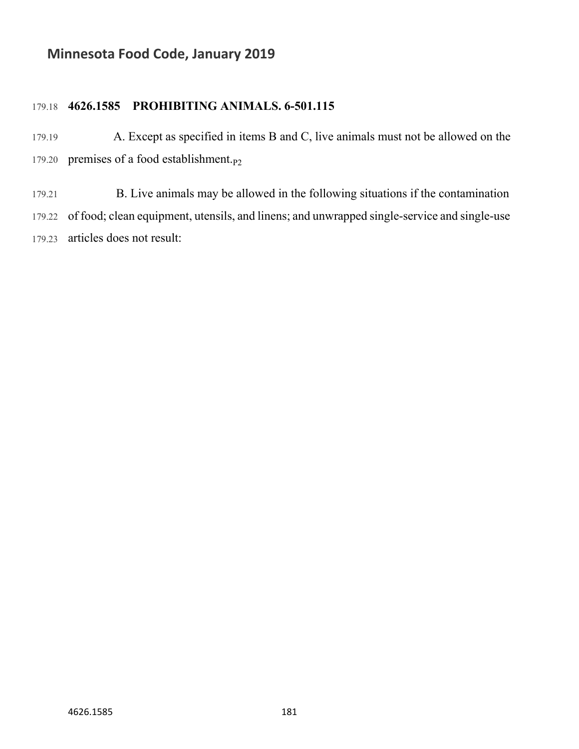# **Minnesota Food Code, January 2019**

## 179.18 **4626.1585 PROHIBITING ANIMALS. 6-501.115**

- 179.19 A. Except as specified in items B and C, live animals must not be allowed on the 179.20 premises of a food establishment. $p_2$
- 179.21 B. Live animals may be allowed in the following situations if the contamination 179.22 of food; clean equipment, utensils, and linens; and unwrapped single-service and single-use 179.23 articles does not result: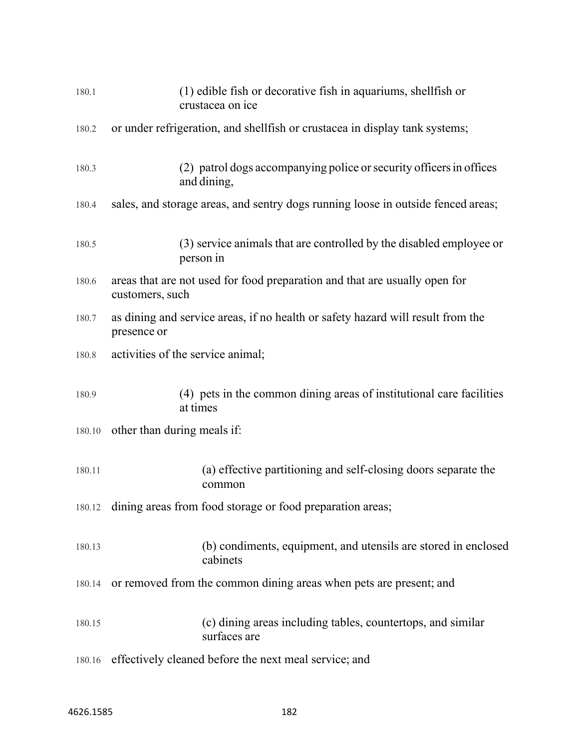| 180.1  | (1) edible fish or decorative fish in aquariums, shellfish or<br>crustacea on ice              |
|--------|------------------------------------------------------------------------------------------------|
| 180.2  | or under refrigeration, and shell fish or crustacea in display tank systems;                   |
| 180.3  | (2) patrol dogs accompanying police or security officers in offices<br>and dining,             |
| 180.4  | sales, and storage areas, and sentry dogs running loose in outside fenced areas;               |
| 180.5  | (3) service animals that are controlled by the disabled employee or<br>person in               |
| 180.6  | areas that are not used for food preparation and that are usually open for<br>customers, such  |
| 180.7  | as dining and service areas, if no health or safety hazard will result from the<br>presence or |
| 180.8  | activities of the service animal;                                                              |
| 180.9  | (4) pets in the common dining areas of institutional care facilities<br>at times               |
|        | 180.10 other than during meals if:                                                             |
| 180.11 | (a) effective partitioning and self-closing doors separate the<br>common                       |
| 180.12 | dining areas from food storage or food preparation areas;                                      |
| 180.13 | (b) condiments, equipment, and utensils are stored in enclosed<br>cabinets                     |
| 180.14 | or removed from the common dining areas when pets are present; and                             |
| 180.15 | (c) dining areas including tables, countertops, and similar<br>surfaces are                    |
| 180.16 | effectively cleaned before the next meal service; and                                          |